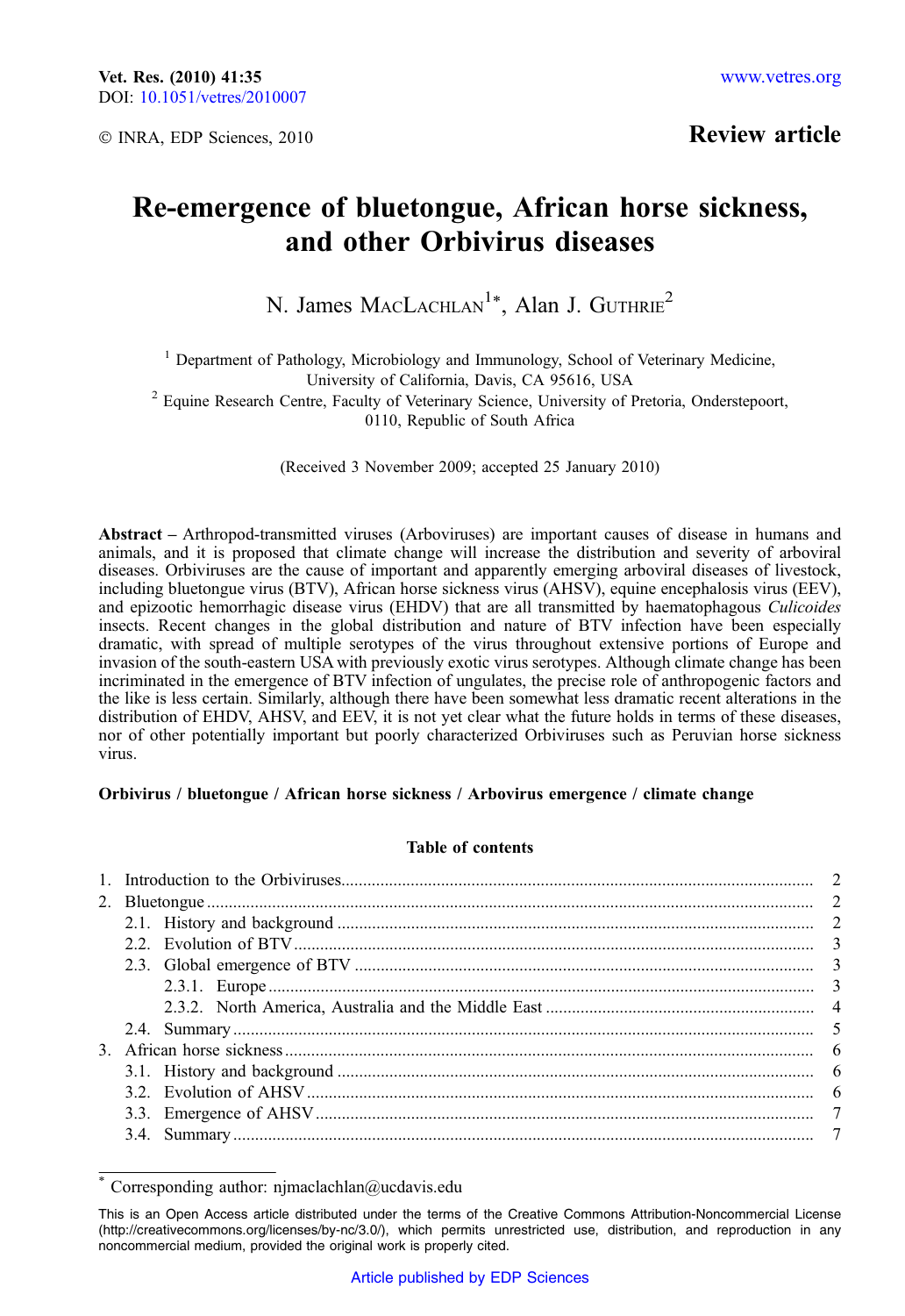Review article

# Re-emergence of bluetongue, African horse sickness, and other Orbivirus diseases

N. James MACLACHLAN<sup>1\*</sup>, Alan J. GUTHRIE<sup>2</sup>

<sup>1</sup> Department of Pathology, Microbiology and Immunology, School of Veterinary Medicine, University of California, Davis, CA 95616, USA

<sup>2</sup> Equine Research Centre, Faculty of Veterinary Science, University of Pretoria, Onderstepoort, 0110, Republic of South Africa

(Received 3 November 2009; accepted 25 January 2010)

Abstract – Arthropod-transmitted viruses (Arboviruses) are important causes of disease in humans and animals, and it is proposed that climate change will increase the distribution and severity of arboviral diseases. Orbiviruses are the cause of important and apparently emerging arboviral diseases of livestock, including bluetongue virus (BTV), African horse sickness virus (AHSV), equine encephalosis virus (EEV), and epizootic hemorrhagic disease virus (EHDV) that are all transmitted by haematophagous Culicoides insects. Recent changes in the global distribution and nature of BTV infection have been especially dramatic, with spread of multiple serotypes of the virus throughout extensive portions of Europe and invasion of the south-eastern USA with previously exotic virus serotypes. Although climate change has been incriminated in the emergence of BTV infection of ungulates, the precise role of anthropogenic factors and the like is less certain. Similarly, although there have been somewhat less dramatic recent alterations in the distribution of EHDV, AHSV, and EEV, it is not yet clear what the future holds in terms of these diseases, nor of other potentially important but poorly characterized Orbiviruses such as Peruvian horse sickness virus.

#### Orbivirus / bluetongue / African horse sickness / Arbovirus emergence / climate change

# Table of contents

Corresponding author: njmaclachlan@ucdavis.edu

This is an Open Access article distributed under the terms of the Creative Commons Attribution-Noncommercial License (http://creativecommons.org/licenses/by-nc/3.0/), which permits unrestricted use, distribution, and reproduction in any noncommercial medium, provided the original work is properly cited.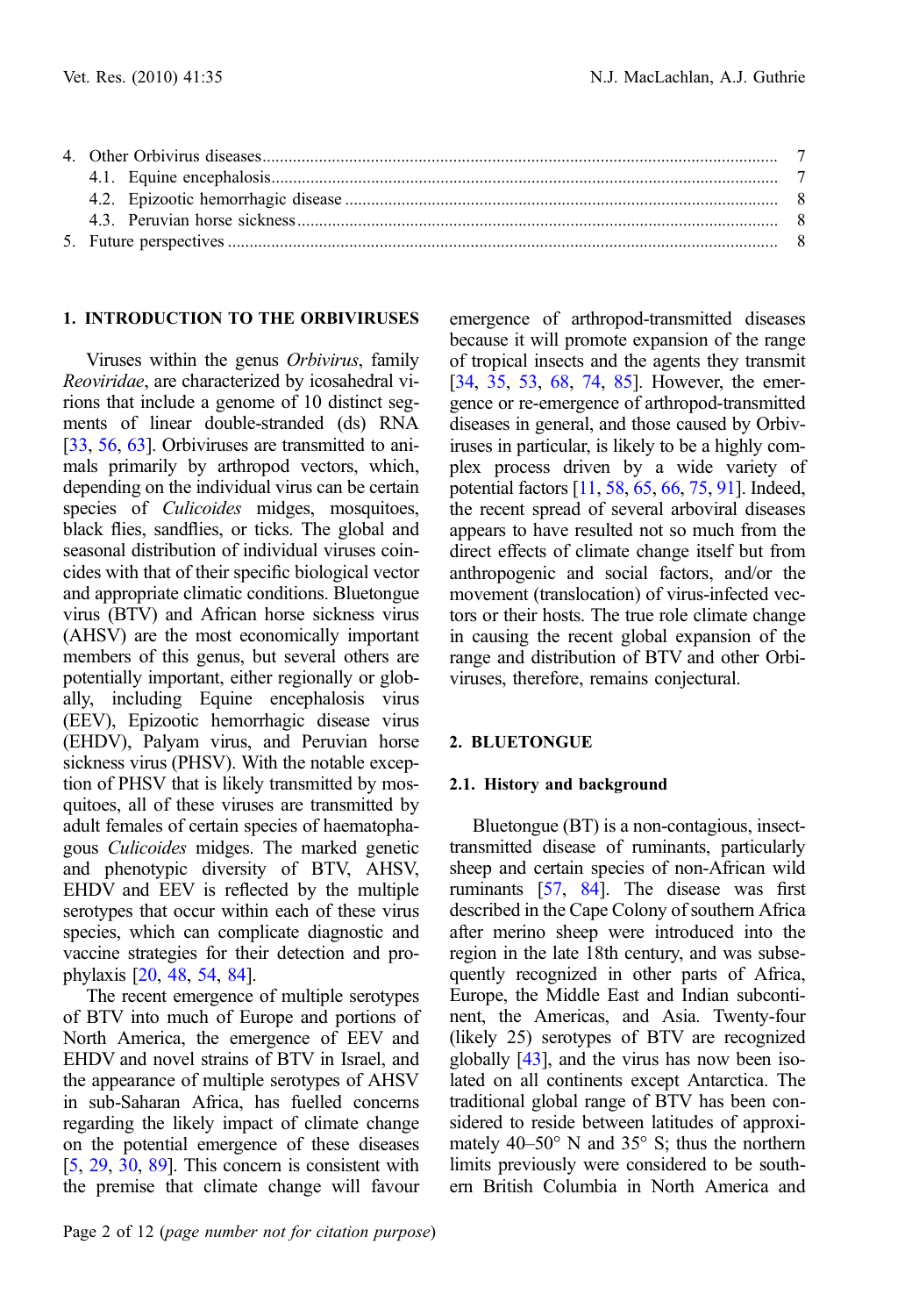# 1. INTRODUCTION TO THE ORBIVIRUSES

Viruses within the genus Orbivirus, family Reoviridae, are characterized by icosahedral virions that include a genome of 10 distinct segments of linear double-stranded (ds) RNA [[33](#page-9-0), [56](#page-10-0), [63](#page-10-0)]. Orbiviruses are transmitted to animals primarily by arthropod vectors, which, depending on the individual virus can be certain species of *Culicoides* midges, mosquitoes, black flies, sandflies, or ticks. The global and seasonal distribution of individual viruses coincides with that of their specific biological vector and appropriate climatic conditions. Bluetongue virus (BTV) and African horse sickness virus (AHSV) are the most economically important members of this genus, but several others are potentially important, either regionally or globally, including Equine encephalosis virus (EEV), Epizootic hemorrhagic disease virus (EHDV), Palyam virus, and Peruvian horse sickness virus (PHSV). With the notable exception of PHSV that is likely transmitted by mosquitoes, all of these viruses are transmitted by adult females of certain species of haematophagous Culicoides midges. The marked genetic and phenotypic diversity of BTV, AHSV, EHDV and EEV is reflected by the multiple serotypes that occur within each of these virus species, which can complicate diagnostic and vaccine strategies for their detection and prophylaxis [\[20](#page-8-0), [48,](#page-9-0) [54,](#page-10-0) [84](#page-11-0)].

The recent emergence of multiple serotypes of BTV into much of Europe and portions of North America, the emergence of EEV and EHDV and novel strains of BTV in Israel, and the appearance of multiple serotypes of AHSV in sub-Saharan Africa, has fuelled concerns regarding the likely impact of climate change on the potential emergence of these diseases [[5,](#page-8-0) [29,](#page-9-0) [30](#page-9-0), [89](#page-11-0)]. This concern is consistent with the premise that climate change will favour

emergence of arthropod-transmitted diseases because it will promote expansion of the range of tropical insects and the agents they transmit [[34](#page-9-0), [35,](#page-9-0) [53,](#page-10-0) [68](#page-10-0), [74,](#page-10-0) [85](#page-11-0)]. However, the emergence or re-emergence of arthropod-transmitted diseases in general, and those caused by Orbiviruses in particular, is likely to be a highly complex process driven by a wide variety of potential factors [\[11,](#page-8-0) [58,](#page-10-0) [65](#page-10-0), [66,](#page-10-0) [75](#page-10-0), [91](#page-11-0)]. Indeed, the recent spread of several arboviral diseases appears to have resulted not so much from the direct effects of climate change itself but from anthropogenic and social factors, and/or the movement (translocation) of virus-infected vectors or their hosts. The true role climate change in causing the recent global expansion of the range and distribution of BTV and other Orbiviruses, therefore, remains conjectural.

#### 2. BLUETONGUE

#### 2.1. History and background

Bluetongue (BT) is a non-contagious, insecttransmitted disease of ruminants, particularly sheep and certain species of non-African wild ruminants [\[57,](#page-10-0) [84\]](#page-11-0). The disease was first described in the Cape Colony of southern Africa after merino sheep were introduced into the region in the late 18th century, and was subsequently recognized in other parts of Africa, Europe, the Middle East and Indian subcontinent, the Americas, and Asia. Twenty-four (likely 25) serotypes of BTV are recognized globally [\[43](#page-9-0)], and the virus has now been isolated on all continents except Antarctica. The traditional global range of BTV has been considered to reside between latitudes of approximately  $40-50^{\circ}$  N and  $35^{\circ}$  S; thus the northern limits previously were considered to be southern British Columbia in North America and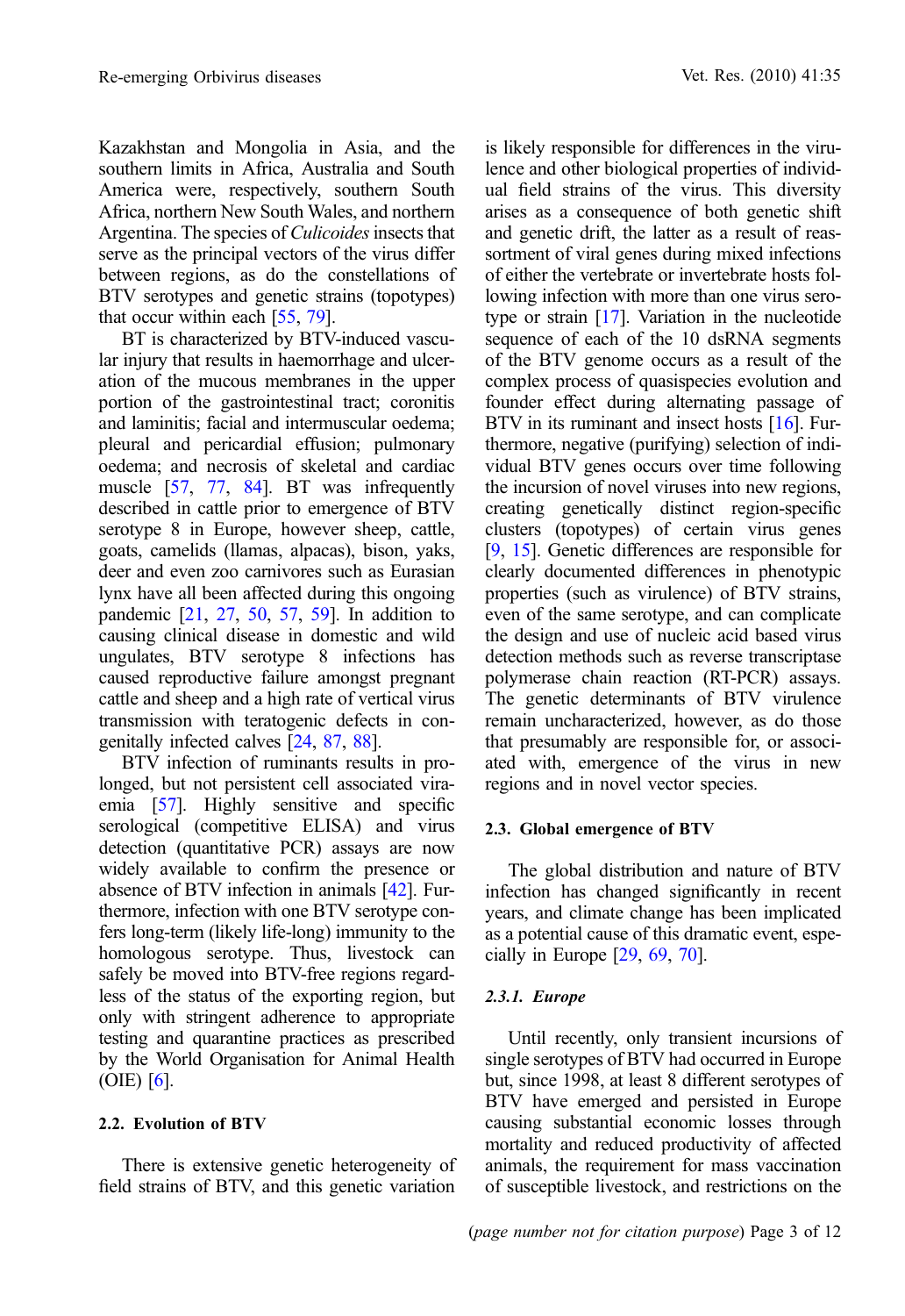Kazakhstan and Mongolia in Asia, and the southern limits in Africa, Australia and South America were, respectively, southern South Africa, northern New South Wales, and northern Argentina. The species of Culicoides insects that serve as the principal vectors of the virus differ between regions, as do the constellations of BTV serotypes and genetic strains (topotypes) that occur within each [\[55](#page-10-0), [79](#page-11-0)].

BT is characterized by BTV-induced vascular injury that results in haemorrhage and ulceration of the mucous membranes in the upper portion of the gastrointestinal tract; coronitis and laminitis; facial and intermuscular oedema; pleural and pericardial effusion; pulmonary oedema; and necrosis of skeletal and cardiac muscle [\[57,](#page-10-0) [77,](#page-10-0) [84\]](#page-11-0). BT was infrequently described in cattle prior to emergence of BTV serotype 8 in Europe, however sheep, cattle, goats, camelids (llamas, alpacas), bison, yaks, deer and even zoo carnivores such as Eurasian lynx have all been affected during this ongoing pandemic [[21](#page-8-0), [27,](#page-9-0) [50,](#page-10-0) [57](#page-10-0), [59](#page-10-0)]. In addition to causing clinical disease in domestic and wild ungulates, BTV serotype 8 infections has caused reproductive failure amongst pregnant cattle and sheep and a high rate of vertical virus transmission with teratogenic defects in congenitally infected calves [[24](#page-8-0), [87,](#page-11-0) [88](#page-11-0)].

BTV infection of ruminants results in prolonged, but not persistent cell associated viraemia [[57](#page-10-0)]. Highly sensitive and specific serological (competitive ELISA) and virus detection (quantitative PCR) assays are now widely available to confirm the presence or absence of BTV infection in animals [[42](#page-9-0)]. Furthermore, infection with one BTV serotype confers long-term (likely life-long) immunity to the homologous serotype. Thus, livestock can safely be moved into BTV-free regions regardless of the status of the exporting region, but only with stringent adherence to appropriate testing and quarantine practices as prescribed by the World Organisation for Animal Health (OIE) [[6](#page-8-0)].

# 2.2. Evolution of BTV

There is extensive genetic heterogeneity of field strains of BTV, and this genetic variation is likely responsible for differences in the virulence and other biological properties of individual field strains of the virus. This diversity arises as a consequence of both genetic shift and genetic drift, the latter as a result of reassortment of viral genes during mixed infections of either the vertebrate or invertebrate hosts following infection with more than one virus serotype or strain [[17\]](#page-8-0). Variation in the nucleotide sequence of each of the 10 dsRNA segments of the BTV genome occurs as a result of the complex process of quasispecies evolution and founder effect during alternating passage of BTV in its ruminant and insect hosts [[16](#page-8-0)]. Furthermore, negative (purifying) selection of individual BTV genes occurs over time following the incursion of novel viruses into new regions, creating genetically distinct region-specific clusters (topotypes) of certain virus genes [\[9,](#page-8-0) [15](#page-8-0)]. Genetic differences are responsible for clearly documented differences in phenotypic properties (such as virulence) of BTV strains, even of the same serotype, and can complicate the design and use of nucleic acid based virus detection methods such as reverse transcriptase polymerase chain reaction (RT-PCR) assays. The genetic determinants of BTV virulence remain uncharacterized, however, as do those that presumably are responsible for, or associated with, emergence of the virus in new regions and in novel vector species.

# 2.3. Global emergence of BTV

The global distribution and nature of BTV infection has changed significantly in recent years, and climate change has been implicated as a potential cause of this dramatic event, especially in Europe [\[29,](#page-9-0) [69](#page-10-0), [70\]](#page-10-0).

# 2.3.1. Europe

Until recently, only transient incursions of single serotypes of BTV had occurred in Europe but, since 1998, at least 8 different serotypes of BTV have emerged and persisted in Europe causing substantial economic losses through mortality and reduced productivity of affected animals, the requirement for mass vaccination of susceptible livestock, and restrictions on the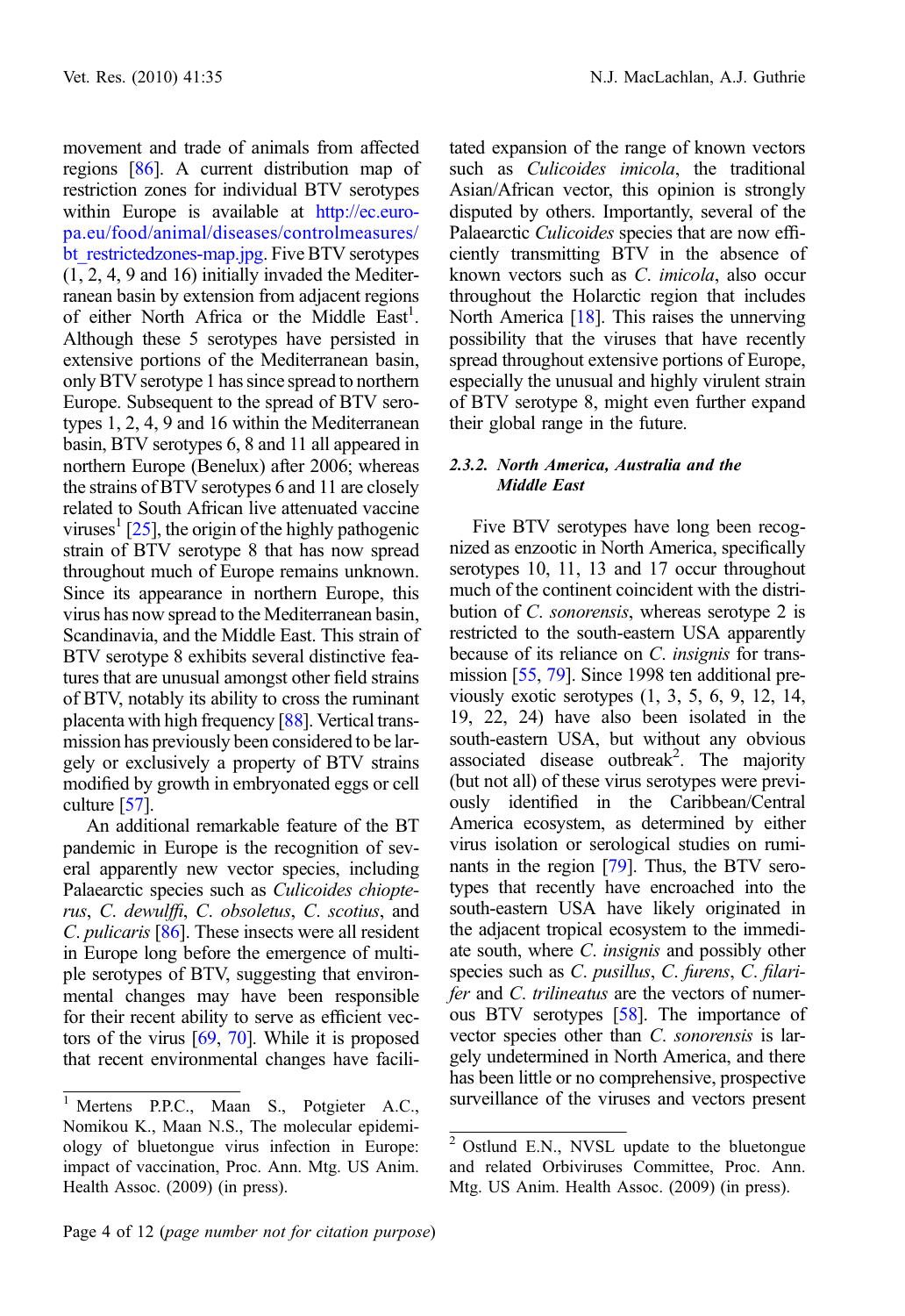movement and trade of animals from affected regions [[86](#page-11-0)]. A current distribution map of restriction zones for individual BTV serotypes within Europe is available at [http://ec.euro](http://ec.europa.eu/food/animal/diseases/controlmeasures/bt_restrictedzones-map.jpg)[pa.eu/food/animal/diseases/controlmeasures/](http://ec.europa.eu/food/animal/diseases/controlmeasures/bt_restrictedzones-map.jpg) bt restrictedzones-map.jpg. Five BTV serotypes (1, 2, 4, 9 and 16) initially invaded the Mediterranean basin by extension from adjacent regions of either North Africa or the Middle East<sup>1</sup>. Although these 5 serotypes have persisted in extensive portions of the Mediterranean basin, only BTV serotype 1 has since spread to northern Europe. Subsequent to the spread of BTV serotypes 1, 2, 4, 9 and 16 within the Mediterranean basin, BTV serotypes 6, 8 and 11 all appeared in northern Europe (Benelux) after 2006; whereas the strains of BTV serotypes 6 and 11 are closely related to South African live attenuated vaccine viruses<sup> $\frac{1}{25}$ </sup>, the origin of the highly pathogenic strain of BTV serotype 8 that has now spread throughout much of Europe remains unknown. Since its appearance in northern Europe, this virus has now spread to the Mediterranean basin, Scandinavia, and the Middle East. This strain of BTV serotype 8 exhibits several distinctive features that are unusual amongst other field strains of BTV, notably its ability to cross the ruminant placenta with high frequency [\[88\]](#page-11-0). Vertical transmission has previously been considered to be largely or exclusively a property of BTV strains modified by growth in embryonated eggs or cell culture [[57](#page-10-0)].

An additional remarkable feature of the BT pandemic in Europe is the recognition of several apparently new vector species, including Palaearctic species such as Culicoides chiopterus, C. dewulffi, C. obsoletus, C. scotius, and C. *pulicaris* [\[86\]](#page-11-0). These insects were all resident in Europe long before the emergence of multiple serotypes of BTV, suggesting that environmental changes may have been responsible for their recent ability to serve as efficient vectors of the virus  $[69, 70]$  $[69, 70]$  $[69, 70]$  $[69, 70]$ . While it is proposed that recent environmental changes have facilitated expansion of the range of known vectors such as *Culicoides imicola*, the traditional Asian/African vector, this opinion is strongly disputed by others. Importantly, several of the Palaearctic Culicoides species that are now efficiently transmitting BTV in the absence of known vectors such as C. imicola, also occur throughout the Holarctic region that includes North America [\[18\]](#page-8-0). This raises the unnerving possibility that the viruses that have recently spread throughout extensive portions of Europe, especially the unusual and highly virulent strain of BTV serotype 8, might even further expand their global range in the future.

## 2.3.2. North America, Australia and the Middle East

Five BTV serotypes have long been recognized as enzootic in North America, specifically serotypes 10, 11, 13 and 17 occur throughout much of the continent coincident with the distribution of C. sonorensis, whereas serotype 2 is restricted to the south-eastern USA apparently because of its reliance on C. *insignis* for transmission [\[55,](#page-10-0) [79](#page-11-0)]. Since 1998 ten additional previously exotic serotypes (1, 3, 5, 6, 9, 12, 14, 19, 22, 24) have also been isolated in the south-eastern USA, but without any obvious associated disease outbreak<sup>2</sup>. The majority (but not all) of these virus serotypes were previously identified in the Caribbean/Central America ecosystem, as determined by either virus isolation or serological studies on ruminants in the region [\[79](#page-11-0)]. Thus, the BTV serotypes that recently have encroached into the south-eastern USA have likely originated in the adjacent tropical ecosystem to the immediate south, where C. insignis and possibly other species such as C. pusillus, C. furens, C. filarifer and C. trilineatus are the vectors of numerous BTV serotypes [\[58\]](#page-10-0). The importance of vector species other than C. sonorensis is largely undetermined in North America, and there has been little or no comprehensive, prospective <sup>1</sup> Mertens P.P.C., Maan S., Potgieter A.C., surveillance of the viruses and vectors present

Nomikou K., Maan N.S., The molecular epidemiology of bluetongue virus infection in Europe: impact of vaccination, Proc. Ann. Mtg. US Anim. Health Assoc. (2009) (in press).

 $2$  Ostlund E.N., NVSL update to the bluetongue and related Orbiviruses Committee, Proc. Ann. Mtg. US Anim. Health Assoc. (2009) (in press).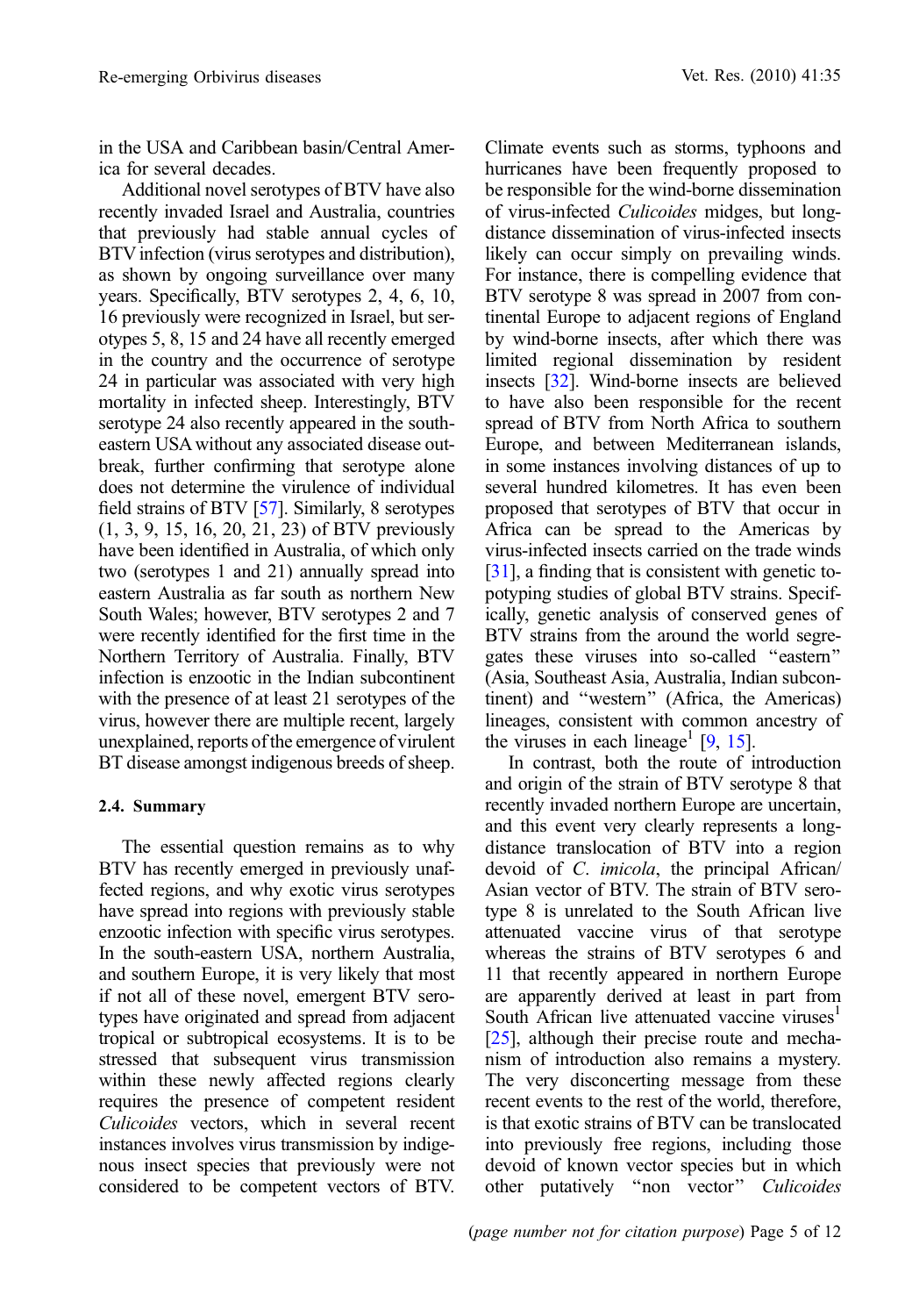in the USA and Caribbean basin/Central America for several decades.

Additional novel serotypes of BTV have also recently invaded Israel and Australia, countries that previously had stable annual cycles of BTV infection (virus serotypes and distribution), as shown by ongoing surveillance over many years. Specifically, BTV serotypes 2, 4, 6, 10, 16 previously were recognized in Israel, but serotypes 5, 8, 15 and 24 have all recently emerged in the country and the occurrence of serotype 24 in particular was associated with very high mortality in infected sheep. Interestingly, BTV serotype 24 also recently appeared in the southeastern USA without any associated disease outbreak, further confirming that serotype alone does not determine the virulence of individual field strains of BTV [\[57\]](#page-10-0). Similarly, 8 serotypes (1, 3, 9, 15, 16, 20, 21, 23) of BTV previously have been identified in Australia, of which only two (serotypes 1 and 21) annually spread into eastern Australia as far south as northern New South Wales; however, BTV serotypes 2 and 7 were recently identified for the first time in the Northern Territory of Australia. Finally, BTV infection is enzootic in the Indian subcontinent with the presence of at least 21 serotypes of the virus, however there are multiple recent, largely unexplained, reports of the emergence of virulent BT disease amongst indigenous breeds of sheep.

# 2.4. Summary

The essential question remains as to why BTV has recently emerged in previously unaffected regions, and why exotic virus serotypes have spread into regions with previously stable enzootic infection with specific virus serotypes. In the south-eastern USA, northern Australia, and southern Europe, it is very likely that most if not all of these novel, emergent BTV serotypes have originated and spread from adjacent tropical or subtropical ecosystems. It is to be stressed that subsequent virus transmission within these newly affected regions clearly requires the presence of competent resident Culicoides vectors, which in several recent instances involves virus transmission by indigenous insect species that previously were not considered to be competent vectors of BTV.

Climate events such as storms, typhoons and hurricanes have been frequently proposed to be responsible for the wind-borne dissemination of virus-infected Culicoides midges, but longdistance dissemination of virus-infected insects likely can occur simply on prevailing winds. For instance, there is compelling evidence that BTV serotype 8 was spread in 2007 from continental Europe to adjacent regions of England by wind-borne insects, after which there was limited regional dissemination by resident insects [[32](#page-9-0)]. Wind-borne insects are believed to have also been responsible for the recent spread of BTV from North Africa to southern Europe, and between Mediterranean islands, in some instances involving distances of up to several hundred kilometres. It has even been proposed that serotypes of BTV that occur in Africa can be spread to the Americas by virus-infected insects carried on the trade winds [\[31\]](#page-9-0), a finding that is consistent with genetic topotyping studies of global BTV strains. Specifically, genetic analysis of conserved genes of BTV strains from the around the world segregates these viruses into so-called ''eastern'' (Asia, Southeast Asia, Australia, Indian subcontinent) and ''western'' (Africa, the Americas) lineages, consistent with common ancestry of the viruses in each lineage<sup>1</sup> [\[9](#page-8-0), [15](#page-8-0)].

In contrast, both the route of introduction and origin of the strain of BTV serotype 8 that recently invaded northern Europe are uncertain, and this event very clearly represents a longdistance translocation of BTV into a region devoid of C. imicola, the principal African/ Asian vector of BTV. The strain of BTV serotype 8 is unrelated to the South African live attenuated vaccine virus of that serotype whereas the strains of BTV serotypes 6 and 11 that recently appeared in northern Europe are apparently derived at least in part from South African live attenuated vaccine viruses<sup>1</sup> [\[25\]](#page-9-0), although their precise route and mechanism of introduction also remains a mystery. The very disconcerting message from these recent events to the rest of the world, therefore, is that exotic strains of BTV can be translocated into previously free regions, including those devoid of known vector species but in which other putatively "non vector" Culicoides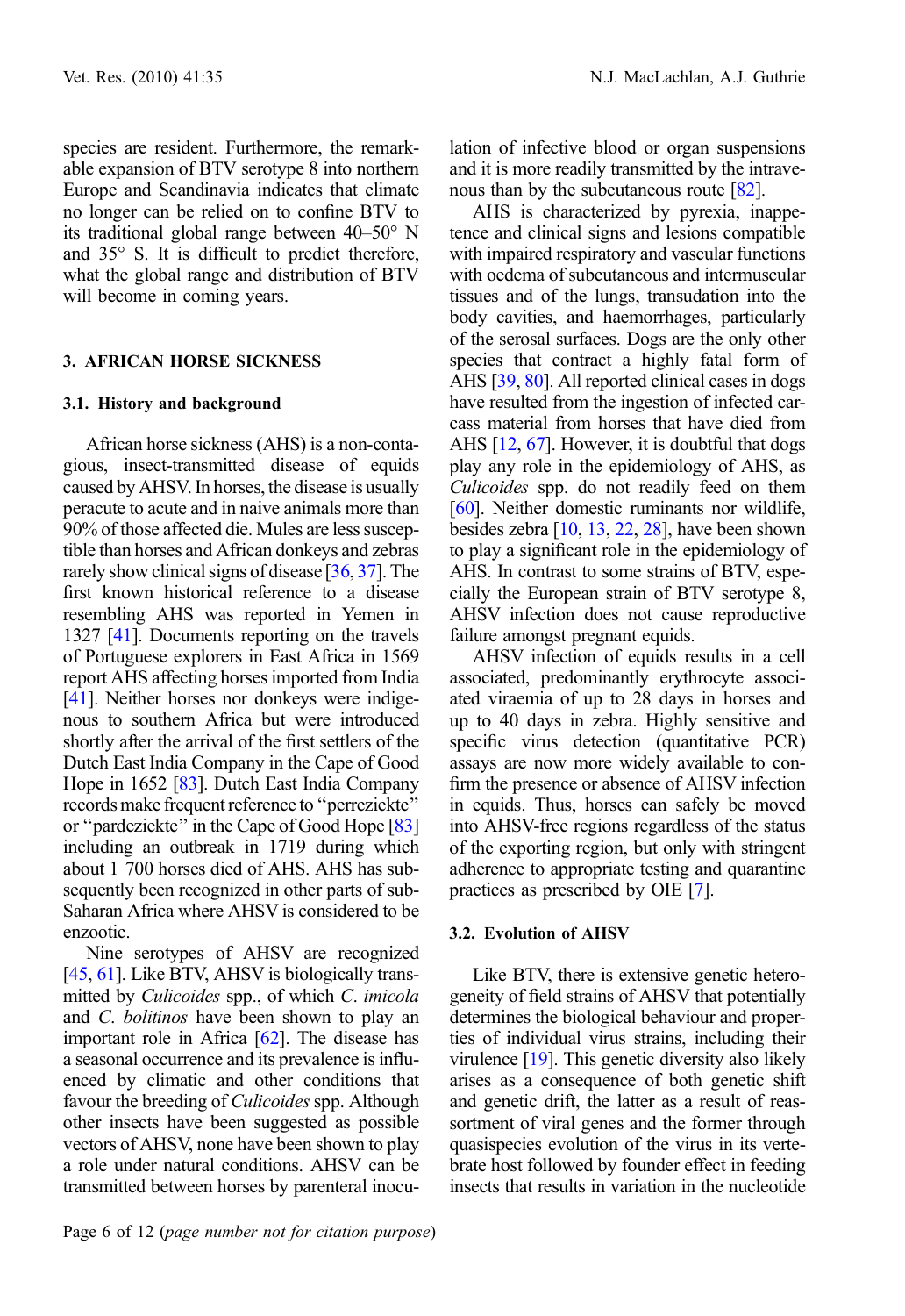species are resident. Furthermore, the remarkable expansion of BTV serotype 8 into northern Europe and Scandinavia indicates that climate no longer can be relied on to confine BTV to its traditional global range between  $40-50^\circ$  N and  $35^\circ$  S. It is difficult to predict therefore, what the global range and distribution of BTV will become in coming years.

# 3. AFRICAN HORSE SICKNESS

### 3.1. History and background

African horse sickness (AHS) is a non-contagious, insect-transmitted disease of equids caused by AHSV. In horses, the disease is usually peracute to acute and in naive animals more than 90% of those affected die. Mules are less susceptible than horses and African donkeys and zebras rarely show clinical signs of disease [\[36,](#page-9-0) [37\]](#page-9-0). The first known historical reference to a disease resembling AHS was reported in Yemen in 1327 [[41](#page-9-0)]. Documents reporting on the travels of Portuguese explorers in East Africa in 1569 report AHS affecting horses imported from India [[41](#page-9-0)]. Neither horses nor donkeys were indigenous to southern Africa but were introduced shortly after the arrival of the first settlers of the Dutch East India Company in the Cape of Good Hope in 1652 [\[83](#page-11-0)]. Dutch East India Company records make frequent reference to ''perreziekte'' or ''pardeziekte'' in the Cape of Good Hope [\[83\]](#page-11-0) including an outbreak in 1719 during which about 1 700 horses died of AHS. AHS has subsequently been recognized in other parts of sub-Saharan Africa where AHSV is considered to be enzootic.

Nine serotypes of AHSV are recognized [[45](#page-9-0), [61\]](#page-10-0). Like BTV, AHSV is biologically transmitted by Culicoides spp., of which C. imicola and *C. bolitinos* have been shown to play an important role in Africa [[62](#page-10-0)]. The disease has a seasonal occurrence and its prevalence is influenced by climatic and other conditions that favour the breeding of *Culicoides* spp. Although other insects have been suggested as possible vectors of AHSV, none have been shown to play a role under natural conditions. AHSV can be transmitted between horses by parenteral inocu-

Page 6 of 12 (page number not for citation purpose)

lation of infective blood or organ suspensions and it is more readily transmitted by the intrave-nous than by the subcutaneous route [[82\]](#page-11-0).

AHS is characterized by pyrexia, inappetence and clinical signs and lesions compatible with impaired respiratory and vascular functions with oedema of subcutaneous and intermuscular tissues and of the lungs, transudation into the body cavities, and haemorrhages, particularly of the serosal surfaces. Dogs are the only other species that contract a highly fatal form of AHS [\[39,](#page-9-0) [80\]](#page-11-0). All reported clinical cases in dogs have resulted from the ingestion of infected carcass material from horses that have died from AHS [[12](#page-8-0), [67\]](#page-10-0). However, it is doubtful that dogs play any role in the epidemiology of AHS, as Culicoides spp. do not readily feed on them [[60](#page-10-0)]. Neither domestic ruminants nor wildlife, besides zebra [\[10,](#page-8-0) [13](#page-8-0), [22,](#page-8-0) [28](#page-9-0)], have been shown to play a significant role in the epidemiology of AHS. In contrast to some strains of BTV, especially the European strain of BTV serotype 8, AHSV infection does not cause reproductive failure amongst pregnant equids.

AHSV infection of equids results in a cell associated, predominantly erythrocyte associated viraemia of up to 28 days in horses and up to 40 days in zebra. Highly sensitive and specific virus detection (quantitative PCR) assays are now more widely available to confirm the presence or absence of AHSV infection in equids. Thus, horses can safely be moved into AHSV-free regions regardless of the status of the exporting region, but only with stringent adherence to appropriate testing and quarantine practices as prescribed by OIE [\[7\]](#page-8-0).

#### 3.2. Evolution of AHSV

Like BTV, there is extensive genetic heterogeneity of field strains of AHSV that potentially determines the biological behaviour and properties of individual virus strains, including their virulence [[19](#page-8-0)]. This genetic diversity also likely arises as a consequence of both genetic shift and genetic drift, the latter as a result of reassortment of viral genes and the former through quasispecies evolution of the virus in its vertebrate host followed by founder effect in feeding insects that results in variation in the nucleotide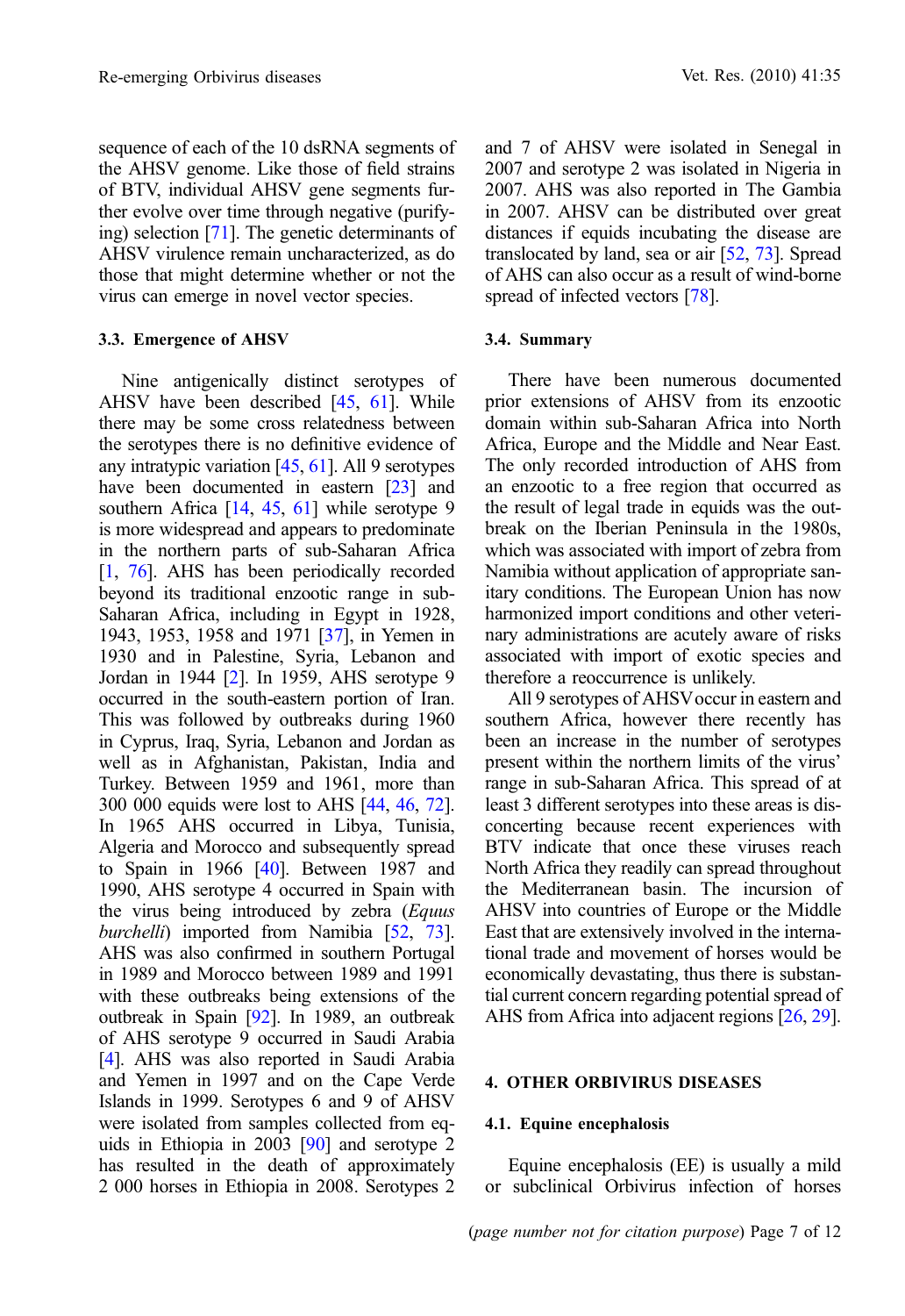sequence of each of the 10 dsRNA segments of the AHSV genome. Like those of field strains of BTV, individual AHSV gene segments further evolve over time through negative (purifying) selection [\[71\]](#page-10-0). The genetic determinants of AHSV virulence remain uncharacterized, as do those that might determine whether or not the virus can emerge in novel vector species.

#### 3.3. Emergence of AHSV

Nine antigenically distinct serotypes of AHSV have been described [\[45,](#page-9-0) [61](#page-10-0)]. While there may be some cross relatedness between the serotypes there is no definitive evidence of any intratypic variation  $[45, 61]$  $[45, 61]$  $[45, 61]$  $[45, 61]$ . All 9 serotypes have been documented in eastern [\[23](#page-8-0)] and southern Africa [\[14](#page-8-0), [45](#page-9-0), [61](#page-10-0)] while serotype 9 is more widespread and appears to predominate in the northern parts of sub-Saharan Africa [\[1,](#page-8-0) [76\]](#page-10-0). AHS has been periodically recorded beyond its traditional enzootic range in sub-Saharan Africa, including in Egypt in 1928, 1943, 1953, 1958 and 1971 [[37](#page-9-0)], in Yemen in 1930 and in Palestine, Syria, Lebanon and Jordan in 1944 [\[2](#page-8-0)]. In 1959, AHS serotype 9 occurred in the south-eastern portion of Iran. This was followed by outbreaks during 1960 in Cyprus, Iraq, Syria, Lebanon and Jordan as well as in Afghanistan, Pakistan, India and Turkey. Between 1959 and 1961, more than 300 000 equids were lost to AHS [[44](#page-9-0), [46](#page-9-0), [72\]](#page-10-0). In 1965 AHS occurred in Libya, Tunisia, Algeria and Morocco and subsequently spread to Spain in 1966  $[40]$  $[40]$  $[40]$ . Between 1987 and 1990, AHS serotype 4 occurred in Spain with the virus being introduced by zebra (*Equus* burchelli) imported from Namibia [[52,](#page-10-0) [73\]](#page-10-0). AHS was also confirmed in southern Portugal in 1989 and Morocco between 1989 and 1991 with these outbreaks being extensions of the outbreak in Spain [\[92\]](#page-11-0). In 1989, an outbreak of AHS serotype 9 occurred in Saudi Arabia [\[4\]](#page-8-0). AHS was also reported in Saudi Arabia and Yemen in 1997 and on the Cape Verde Islands in 1999. Serotypes 6 and 9 of AHSV were isolated from samples collected from equids in Ethiopia in 2003 [\[90\]](#page-11-0) and serotype 2 has resulted in the death of approximately 2 000 horses in Ethiopia in 2008. Serotypes 2

and 7 of AHSV were isolated in Senegal in 2007 and serotype 2 was isolated in Nigeria in 2007. AHS was also reported in The Gambia in 2007. AHSV can be distributed over great distances if equids incubating the disease are translocated by land, sea or air [\[52](#page-10-0), [73](#page-10-0)]. Spread of AHS can also occur as a result of wind-borne spread of infected vectors [[78\]](#page-11-0).

#### 3.4. Summary

There have been numerous documented prior extensions of AHSV from its enzootic domain within sub-Saharan Africa into North Africa, Europe and the Middle and Near East. The only recorded introduction of AHS from an enzootic to a free region that occurred as the result of legal trade in equids was the outbreak on the Iberian Peninsula in the 1980s, which was associated with import of zebra from Namibia without application of appropriate sanitary conditions. The European Union has now harmonized import conditions and other veterinary administrations are acutely aware of risks associated with import of exotic species and therefore a reoccurrence is unlikely.

All 9 serotypes of AHSVoccur in eastern and southern Africa, however there recently has been an increase in the number of serotypes present within the northern limits of the virus' range in sub-Saharan Africa. This spread of at least 3 different serotypes into these areas is disconcerting because recent experiences with BTV indicate that once these viruses reach North Africa they readily can spread throughout the Mediterranean basin. The incursion of AHSV into countries of Europe or the Middle East that are extensively involved in the international trade and movement of horses would be economically devastating, thus there is substantial current concern regarding potential spread of AHS from Africa into adjacent regions [\[26](#page-9-0), [29\]](#page-9-0).

#### 4. OTHER ORBIVIRUS DISEASES

## 4.1. Equine encephalosis

Equine encephalosis (EE) is usually a mild or subclinical Orbivirus infection of horses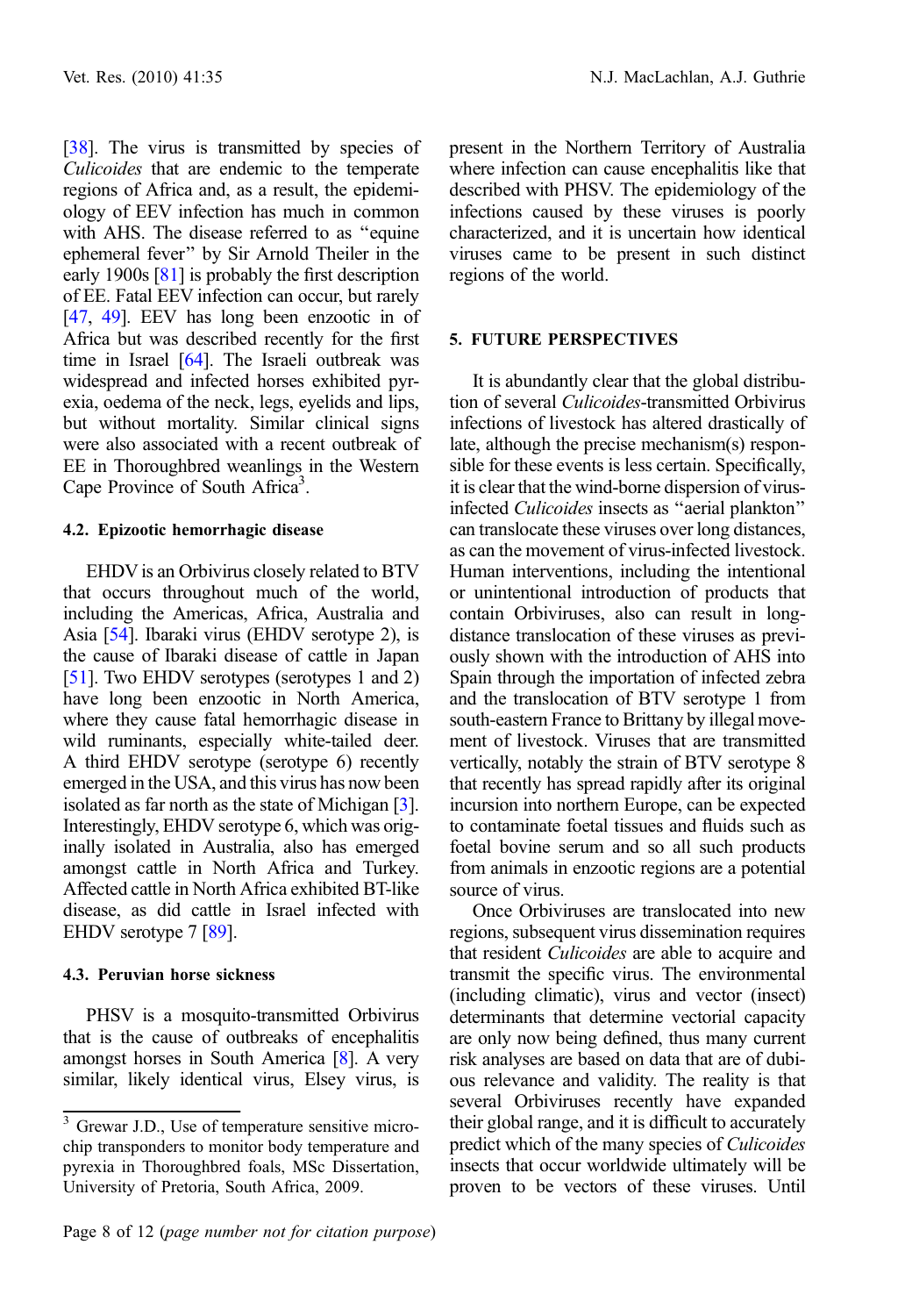[[38](#page-9-0)]. The virus is transmitted by species of Culicoides that are endemic to the temperate regions of Africa and, as a result, the epidemiology of EEV infection has much in common with AHS. The disease referred to as ''equine ephemeral fever'' by Sir Arnold Theiler in the early 1900s [[81](#page-11-0)] is probably the first description of EE. Fatal EEV infection can occur, but rarely [[47](#page-9-0), [49](#page-9-0)]. EEV has long been enzootic in of Africa but was described recently for the first time in Israel [\[64](#page-10-0)]. The Israeli outbreak was widespread and infected horses exhibited pyrexia, oedema of the neck, legs, eyelids and lips, but without mortality. Similar clinical signs were also associated with a recent outbreak of EE in Thoroughbred weanlings in the Western Cape Province of South Africa<sup>3</sup>.

# 4.2. Epizootic hemorrhagic disease

EHDV is an Orbivirus closely related to BTV that occurs throughout much of the world, including the Americas, Africa, Australia and Asia [[54](#page-10-0)]. Ibaraki virus (EHDV serotype 2), is the cause of Ibaraki disease of cattle in Japan [[51](#page-10-0)]. Two EHDV serotypes (serotypes 1 and 2) have long been enzootic in North America, where they cause fatal hemorrhagic disease in wild ruminants, especially white-tailed deer. A third EHDV serotype (serotype 6) recently emerged in the USA, and this virus has now been isolated as far north as the state of Michigan [\[3](#page-8-0)]. Interestingly, EHDV serotype 6, which was originally isolated in Australia, also has emerged amongst cattle in North Africa and Turkey. Affected cattle in North Africa exhibited BT-like disease, as did cattle in Israel infected with EHDV serotype 7 [[89](#page-11-0)].

# 4.3. Peruvian horse sickness

PHSV is a mosquito-transmitted Orbivirus that is the cause of outbreaks of encephalitis amongst horses in South America [\[8](#page-8-0)]. A very similar, likely identical virus, Elsey virus, is

present in the Northern Territory of Australia where infection can cause encephalitis like that described with PHSV. The epidemiology of the infections caused by these viruses is poorly characterized, and it is uncertain how identical viruses came to be present in such distinct regions of the world.

# 5. FUTURE PERSPECTIVES

It is abundantly clear that the global distribution of several Culicoides-transmitted Orbivirus infections of livestock has altered drastically of late, although the precise mechanism(s) responsible for these events is less certain. Specifically, it is clear that the wind-borne dispersion of virusinfected Culicoides insects as ''aerial plankton'' can translocate these viruses over long distances, as can the movement of virus-infected livestock. Human interventions, including the intentional or unintentional introduction of products that contain Orbiviruses, also can result in longdistance translocation of these viruses as previously shown with the introduction of AHS into Spain through the importation of infected zebra and the translocation of BTV serotype 1 from south-eastern France to Brittany by illegal movement of livestock. Viruses that are transmitted vertically, notably the strain of BTV serotype 8 that recently has spread rapidly after its original incursion into northern Europe, can be expected to contaminate foetal tissues and fluids such as foetal bovine serum and so all such products from animals in enzootic regions are a potential source of virus.

Once Orbiviruses are translocated into new regions, subsequent virus dissemination requires that resident Culicoides are able to acquire and transmit the specific virus. The environmental (including climatic), virus and vector (insect) determinants that determine vectorial capacity are only now being defined, thus many current risk analyses are based on data that are of dubious relevance and validity. The reality is that several Orbiviruses recently have expanded their global range, and it is difficult to accurately predict which of the many species of Culicoides insects that occur worldwide ultimately will be proven to be vectors of these viruses. Until

<sup>&</sup>lt;sup>3</sup> Grewar J.D., Use of temperature sensitive microchip transponders to monitor body temperature and pyrexia in Thoroughbred foals, MSc Dissertation, University of Pretoria, South Africa, 2009.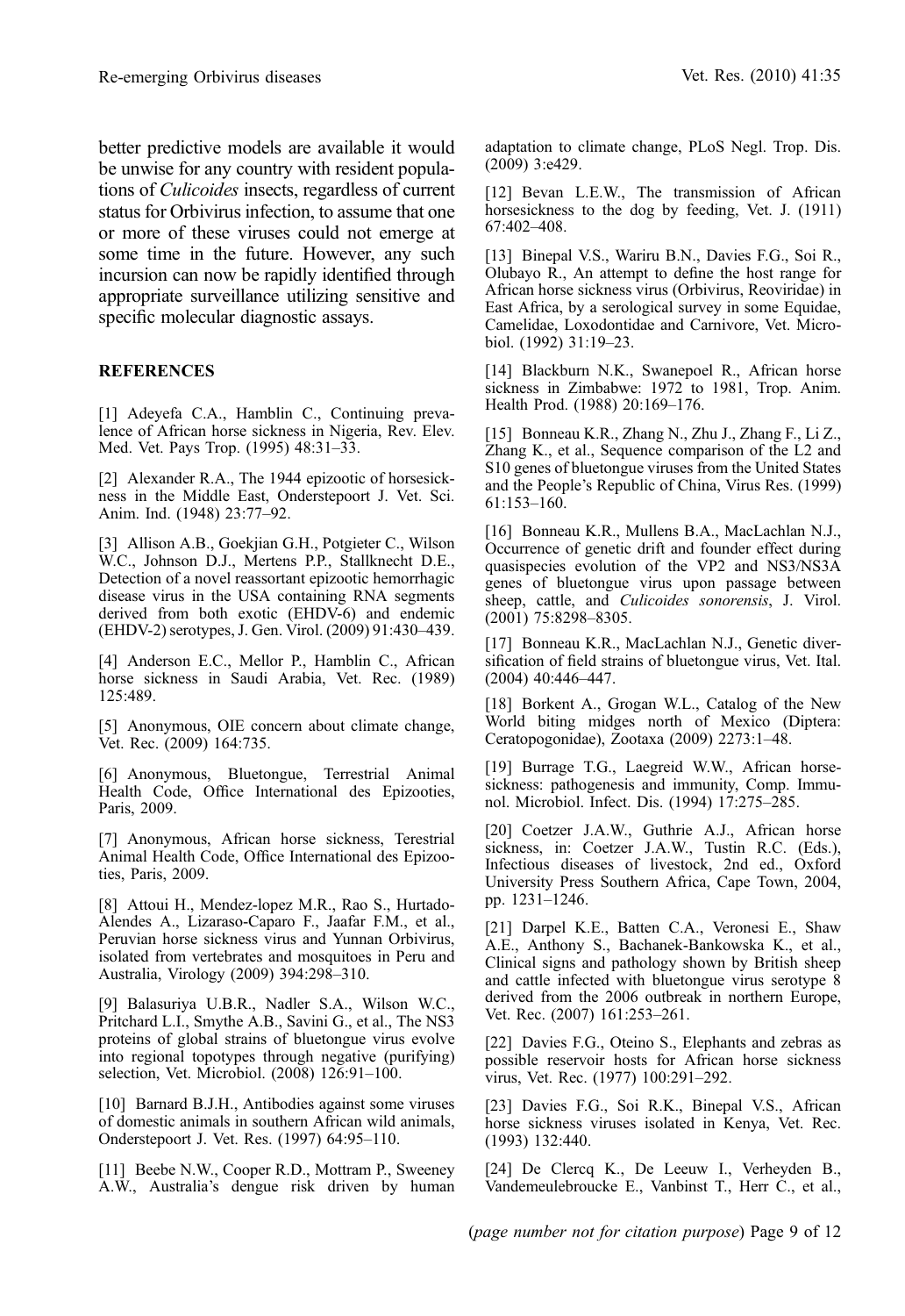<span id="page-8-0"></span>better predictive models are available it would be unwise for any country with resident populations of Culicoides insects, regardless of current status for Orbivirus infection, to assume that one or more of these viruses could not emerge at some time in the future. However, any such incursion can now be rapidly identified through appropriate surveillance utilizing sensitive and specific molecular diagnostic assays.

### **REFERENCES**

[1] Adeyefa C.A., Hamblin C., Continuing prevalence of African horse sickness in Nigeria, Rev. Elev. Med. Vet. Pays Trop. (1995) 48:31–33.

[2] Alexander R.A., The 1944 epizootic of horsesickness in the Middle East, Onderstepoort J. Vet. Sci. Anim. Ind. (1948) 23:77–92.

[3] Allison A.B., Goekjian G.H., Potgieter C., Wilson W.C., Johnson D.J., Mertens P.P., Stallknecht D.E., Detection of a novel reassortant epizootic hemorrhagic disease virus in the USA containing RNA segments derived from both exotic (EHDV-6) and endemic (EHDV-2) serotypes, J. Gen. Virol. (2009) 91:430–439.

[4] Anderson E.C., Mellor P., Hamblin C., African horse sickness in Saudi Arabia, Vet. Rec. (1989) 125:489.

[5] Anonymous, OIE concern about climate change, Vet. Rec. (2009) 164:735.

[6] Anonymous, Bluetongue, Terrestrial Animal Health Code, Office International des Epizooties, Paris, 2009.

[7] Anonymous, African horse sickness, Terestrial Animal Health Code, Office International des Epizooties, Paris, 2009.

[8] Attoui H., Mendez-lopez M.R., Rao S., Hurtado-Alendes A., Lizaraso-Caparo F., Jaafar F.M., et al., Peruvian horse sickness virus and Yunnan Orbivirus, isolated from vertebrates and mosquitoes in Peru and Australia, Virology (2009) 394:298–310.

[9] Balasuriya U.B.R., Nadler S.A., Wilson W.C., Pritchard L.I., Smythe A.B., Savini G., et al., The NS3 proteins of global strains of bluetongue virus evolve into regional topotypes through negative (purifying) selection, Vet. Microbiol. (2008) 126:91–100.

[10] Barnard B.J.H., Antibodies against some viruses of domestic animals in southern African wild animals, Onderstepoort J. Vet. Res. (1997) 64:95–110.

[11] Beebe N.W., Cooper R.D., Mottram P., Sweeney A.W., Australia's dengue risk driven by human

adaptation to climate change, PLoS Negl. Trop. Dis. (2009) 3:e429.

[12] Bevan L.E.W., The transmission of African horsesickness to the dog by feeding, Vet. J. (1911) 67:402–408.

[13] Binepal V.S., Wariru B.N., Davies F.G., Soi R., Olubayo R., An attempt to define the host range for African horse sickness virus (Orbivirus, Reoviridae) in East Africa, by a serological survey in some Equidae, Camelidae, Loxodontidae and Carnivore, Vet. Microbiol. (1992) 31:19–23.

[14] Blackburn N.K., Swanepoel R., African horse sickness in Zimbabwe: 1972 to 1981, Trop. Anim. Health Prod. (1988) 20:169–176.

[15] Bonneau K.R., Zhang N., Zhu J., Zhang F., Li Z., Zhang K., et al., Sequence comparison of the L2 and S10 genes of bluetongue viruses from the United States and the People's Republic of China, Virus Res. (1999) 61:153–160.

[16] Bonneau K.R., Mullens B.A., MacLachlan N.J., Occurrence of genetic drift and founder effect during quasispecies evolution of the VP2 and NS3/NS3A genes of bluetongue virus upon passage between sheep, cattle, and *Culicoides sonorensis*, J. Virol. (2001) 75:8298–8305.

[17] Bonneau K.R., MacLachlan N.J., Genetic diversification of field strains of bluetongue virus, Vet. Ital. (2004) 40:446–447.

[18] Borkent A., Grogan W.L., Catalog of the New World biting midges north of Mexico (Diptera: Ceratopogonidae), Zootaxa (2009) 2273:1–48.

[19] Burrage T.G., Laegreid W.W., African horsesickness: pathogenesis and immunity, Comp. Immunol. Microbiol. Infect. Dis. (1994) 17:275–285.

[20] Coetzer J.A.W., Guthrie A.J., African horse sickness, in: Coetzer J.A.W., Tustin R.C. (Eds.), Infectious diseases of livestock, 2nd ed., Oxford University Press Southern Africa, Cape Town, 2004, pp. 1231–1246.

[21] Darpel K.E., Batten C.A., Veronesi E., Shaw A.E., Anthony S., Bachanek-Bankowska K., et al., Clinical signs and pathology shown by British sheep and cattle infected with bluetongue virus serotype 8 derived from the 2006 outbreak in northern Europe, Vet. Rec. (2007) 161:253–261.

[22] Davies F.G., Oteino S., Elephants and zebras as possible reservoir hosts for African horse sickness virus, Vet. Rec. (1977) 100:291–292.

[23] Davies F.G., Soi R.K., Binepal V.S., African horse sickness viruses isolated in Kenya, Vet. Rec. (1993) 132:440.

[24] De Clercq K., De Leeuw I., Verheyden B., Vandemeulebroucke E., Vanbinst T., Herr C., et al.,

(page number not for citation purpose) Page 9 of 12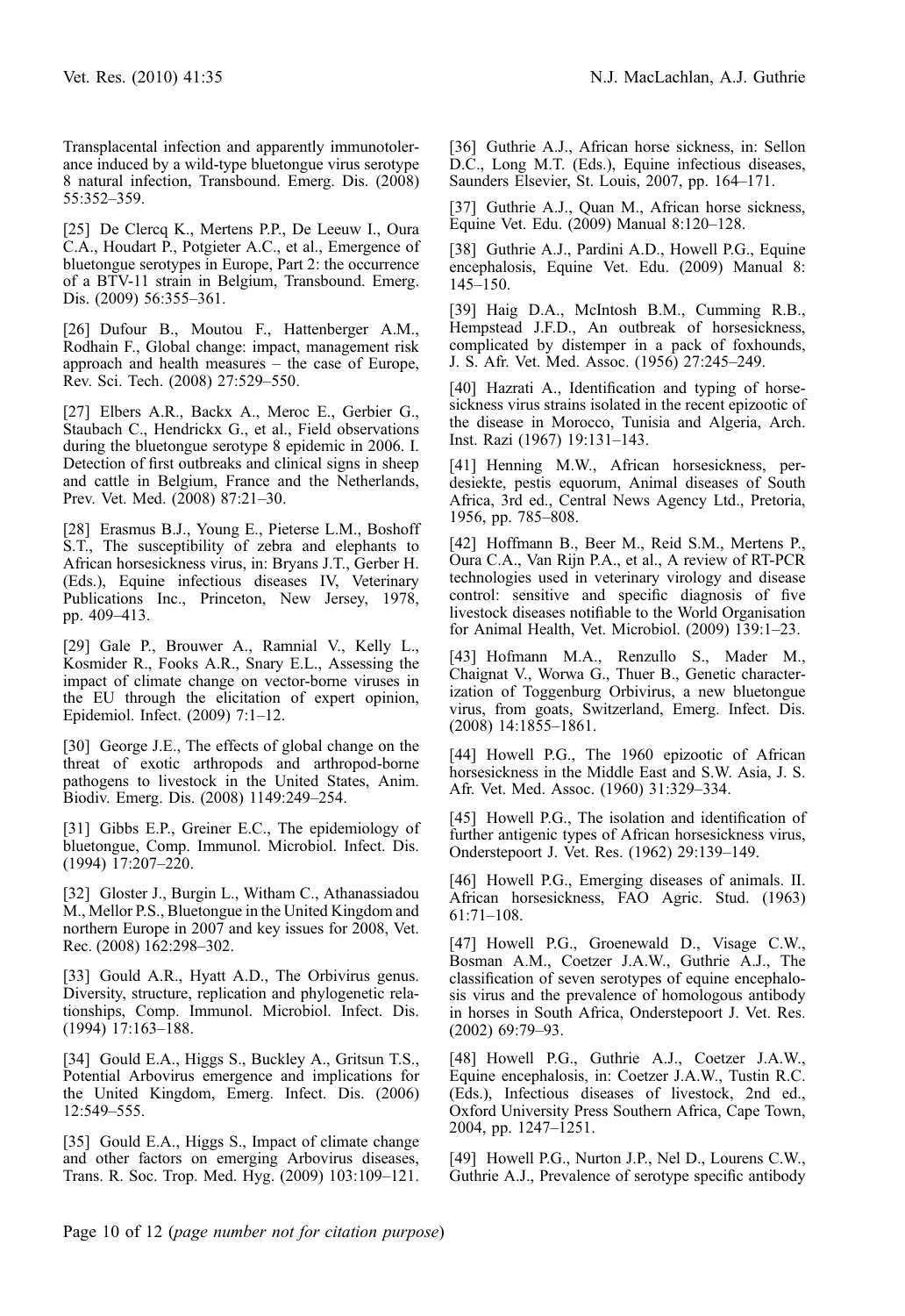<span id="page-9-0"></span>Transplacental infection and apparently immunotolerance induced by a wild-type bluetongue virus serotype 8 natural infection, Transbound. Emerg. Dis. (2008) 55:352–359.

[25] De Clercq K., Mertens P.P., De Leeuw I., Oura C.A., Houdart P., Potgieter A.C., et al., Emergence of bluetongue serotypes in Europe, Part 2: the occurrence of a BTV-11 strain in Belgium, Transbound. Emerg. Dis. (2009) 56:355–361.

[26] Dufour B., Moutou F., Hattenberger A.M., Rodhain F., Global change: impact, management risk approach and health measures – the case of Europe, Rev. Sci. Tech. (2008) 27:529–550.

[27] Elbers A.R., Backx A., Meroc E., Gerbier G., Staubach C., Hendrickx G., et al., Field observations during the bluetongue serotype 8 epidemic in 2006. I. Detection of first outbreaks and clinical signs in sheep and cattle in Belgium, France and the Netherlands, Prev. Vet. Med. (2008) 87:21–30.

[28] Erasmus B.J., Young E., Pieterse L.M., Boshoff S.T., The susceptibility of zebra and elephants to African horsesickness virus, in: Bryans J.T., Gerber H. (Eds.), Equine infectious diseases IV, Veterinary Publications Inc., Princeton, New Jersey, 1978, pp. 409–413.

[29] Gale P., Brouwer A., Ramnial V., Kelly L., Kosmider R., Fooks A.R., Snary E.L., Assessing the impact of climate change on vector-borne viruses in the EU through the elicitation of expert opinion, Epidemiol. Infect. (2009) 7:1–12.

[30] George J.E., The effects of global change on the threat of exotic arthropods and arthropod-borne pathogens to livestock in the United States, Anim. Biodiv. Emerg. Dis. (2008) 1149:249–254.

[31] Gibbs E.P., Greiner E.C., The epidemiology of bluetongue, Comp. Immunol. Microbiol. Infect. Dis. (1994) 17:207–220.

[32] Gloster J., Burgin L., Witham C., Athanassiadou M., Mellor P.S., Bluetongue in the United Kingdom and northern Europe in 2007 and key issues for 2008, Vet. Rec. (2008) 162:298–302.

[33] Gould A.R., Hyatt A.D., The Orbivirus genus. Diversity, structure, replication and phylogenetic relationships, Comp. Immunol. Microbiol. Infect. Dis.  $(1994)$  17:163-188.

[34] Gould E.A., Higgs S., Buckley A., Gritsun T.S., Potential Arbovirus emergence and implications for the United Kingdom, Emerg. Infect. Dis. (2006) 12:549–555.

[35] Gould E.A., Higgs S., Impact of climate change and other factors on emerging Arbovirus diseases, Trans. R. Soc. Trop. Med. Hyg. (2009) 103:109–121.

[36] Guthrie A.J., African horse sickness, in: Sellon D.C., Long M.T. (Eds.), Equine infectious diseases, Saunders Elsevier, St. Louis, 2007, pp. 164–171.

[37] Guthrie A.J., Quan M., African horse sickness, Equine Vet. Edu. (2009) Manual 8:120–128.

[38] Guthrie A.J., Pardini A.D., Howell P.G., Equine encephalosis, Equine Vet. Edu. (2009) Manual 8: 145–150.

[39] Haig D.A., McIntosh B.M., Cumming R.B., Hempstead J.F.D., An outbreak of horsesickness, complicated by distemper in a pack of foxhounds, J. S. Afr. Vet. Med. Assoc. (1956) 27:245–249.

[40] Hazrati A., Identification and typing of horsesickness virus strains isolated in the recent epizootic of the disease in Morocco, Tunisia and Algeria, Arch. Inst. Razi (1967) 19:131–143.

[41] Henning M.W., African horsesickness, perdesiekte, pestis equorum, Animal diseases of South Africa, 3rd ed., Central News Agency Ltd., Pretoria, 1956, pp. 785–808.

[42] Hoffmann B., Beer M., Reid S.M., Mertens P., Oura C.A., Van Rijn P.A., et al., A review of RT-PCR technologies used in veterinary virology and disease control: sensitive and specific diagnosis of five livestock diseases notifiable to the World Organisation for Animal Health, Vet. Microbiol. (2009) 139:1–23.

[43] Hofmann M.A., Renzullo S., Mader M., Chaignat V., Worwa G., Thuer B., Genetic characterization of Toggenburg Orbivirus, a new bluetongue virus, from goats, Switzerland, Emerg. Infect. Dis. (2008) 14:1855–1861.

[44] Howell P.G., The 1960 epizootic of African horsesickness in the Middle East and S.W. Asia, J. S. Afr. Vet. Med. Assoc. (1960) 31:329–334.

[45] Howell P.G., The isolation and identification of further antigenic types of African horsesickness virus, Onderstepoort J. Vet. Res. (1962) 29:139–149.

[46] Howell P.G., Emerging diseases of animals. II. African horsesickness, FAO Agric. Stud. (1963) 61:71–108.

[47] Howell P.G., Groenewald D., Visage C.W., Bosman A.M., Coetzer J.A.W., Guthrie A.J., The classification of seven serotypes of equine encephalosis virus and the prevalence of homologous antibody in horses in South Africa, Onderstepoort J. Vet. Res. (2002) 69:79–93.

[48] Howell P.G., Guthrie A.J., Coetzer J.A.W., Equine encephalosis, in: Coetzer J.A.W., Tustin R.C. (Eds.), Infectious diseases of livestock, 2nd ed., Oxford University Press Southern Africa, Cape Town, 2004, pp. 1247–1251.

[49] Howell P.G., Nurton J.P., Nel D., Lourens C.W., Guthrie A.J., Prevalence of serotype specific antibody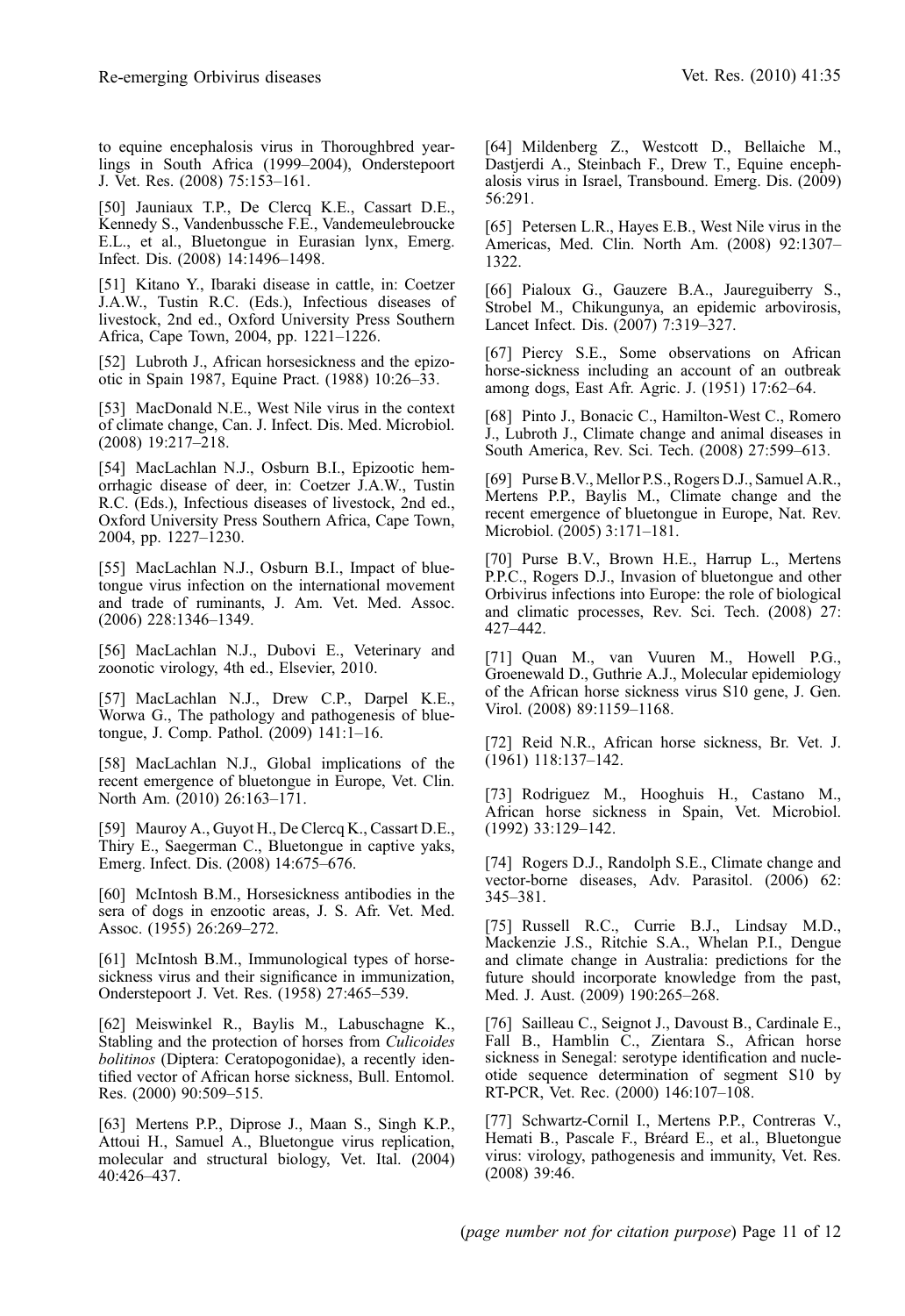<span id="page-10-0"></span>to equine encephalosis virus in Thoroughbred yearlings in South Africa (1999–2004), Onderstepoort J. Vet. Res. (2008) 75:153–161.

[50] Jauniaux T.P., De Clercq K.E., Cassart D.E., Kennedy S., Vandenbussche F.E., Vandemeulebroucke E.L., et al., Bluetongue in Eurasian lynx, Emerg. Infect. Dis. (2008) 14:1496–1498.

[51] Kitano Y., Ibaraki disease in cattle, in: Coetzer J.A.W., Tustin R.C. (Eds.), Infectious diseases of livestock, 2nd ed., Oxford University Press Southern Africa, Cape Town, 2004, pp. 1221–1226.

[52] Lubroth J., African horsesickness and the epizootic in Spain 1987, Equine Pract. (1988) 10:26–33.

[53] MacDonald N.E., West Nile virus in the context of climate change, Can. J. Infect. Dis. Med. Microbiol. (2008) 19:217–218.

[54] MacLachlan N.J., Osburn B.I., Epizootic hemorrhagic disease of deer, in: Coetzer J.A.W., Tustin R.C. (Eds.), Infectious diseases of livestock, 2nd ed., Oxford University Press Southern Africa, Cape Town, 2004, pp. 1227–1230.

[55] MacLachlan N.J., Osburn B.I., Impact of bluetongue virus infection on the international movement and trade of ruminants, J. Am. Vet. Med. Assoc. (2006) 228:1346–1349.

[56] MacLachlan N.J., Dubovi E., Veterinary and zoonotic virology, 4th ed., Elsevier, 2010.

[57] MacLachlan N.J., Drew C.P., Darpel K.E., Worwa G., The pathology and pathogenesis of bluetongue, J. Comp. Pathol. (2009) 141:1–16.

[58] MacLachlan N.J., Global implications of the recent emergence of bluetongue in Europe, Vet. Clin. North Am. (2010) 26:163–171.

[59] Mauroy A., Guyot H., De Clercq K., Cassart D.E., Thiry E., Saegerman C., Bluetongue in captive yaks, Emerg. Infect. Dis. (2008) 14:675–676.

[60] McIntosh B.M., Horsesickness antibodies in the sera of dogs in enzootic areas, J. S. Afr. Vet. Med. Assoc. (1955) 26:269–272.

[61] McIntosh B.M., Immunological types of horsesickness virus and their significance in immunization, Onderstepoort J. Vet. Res. (1958) 27:465–539.

[62] Meiswinkel R., Baylis M., Labuschagne K., Stabling and the protection of horses from Culicoides bolitinos (Diptera: Ceratopogonidae), a recently identified vector of African horse sickness, Bull. Entomol. Res. (2000) 90:509–515.

[63] Mertens P.P., Diprose J., Maan S., Singh K.P., Attoui H., Samuel A., Bluetongue virus replication, molecular and structural biology, Vet. Ital. (2004) 40:426–437.

[64] Mildenberg Z., Westcott D., Bellaiche M., Dastjerdi A., Steinbach F., Drew T., Equine encephalosis virus in Israel, Transbound. Emerg. Dis. (2009) 56:291.

[65] Petersen L.R., Haves E.B., West Nile virus in the Americas, Med. Clin. North Am. (2008) 92:1307– 1322.

[66] Pialoux G., Gauzere B.A., Jaureguiberry S., Strobel M., Chikungunya, an epidemic arbovirosis, Lancet Infect. Dis. (2007) 7:319–327.

[67] Piercy S.E., Some observations on African horse-sickness including an account of an outbreak among dogs, East Afr. Agric. J. (1951) 17:62–64.

[68] Pinto J., Bonacic C., Hamilton-West C., Romero J., Lubroth J., Climate change and animal diseases in South America, Rev. Sci. Tech. (2008) 27:599–613.

[69] Purse B.V., Mellor P.S., Rogers D.J., Samuel A.R., Mertens P.P., Baylis M., Climate change and the recent emergence of bluetongue in Europe, Nat. Rev. Microbiol. (2005) 3:171–181.

[70] Purse B.V., Brown H.E., Harrup L., Mertens P.P.C., Rogers D.J., Invasion of bluetongue and other Orbivirus infections into Europe: the role of biological and climatic processes, Rev. Sci. Tech. (2008) 27: 427–442.

[71] Quan M., van Vuuren M., Howell P.G., Groenewald D., Guthrie A.J., Molecular epidemiology of the African horse sickness virus S10 gene, J. Gen. Virol. (2008) 89:1159–1168.

[72] Reid N.R., African horse sickness, Br. Vet. J. (1961) 118:137–142.

[73] Rodriguez M., Hooghuis H., Castano M., African horse sickness in Spain, Vet. Microbiol. (1992) 33:129–142.

[74] Rogers D.J., Randolph S.E., Climate change and vector-borne diseases, Adv. Parasitol. (2006) 62: 345–381.

[75] Russell R.C., Currie B.J., Lindsay M.D., Mackenzie J.S., Ritchie S.A., Whelan P.I., Dengue and climate change in Australia: predictions for the future should incorporate knowledge from the past, Med. J. Aust. (2009) 190:265–268.

[76] Sailleau C., Seignot J., Davoust B., Cardinale E., Fall B., Hamblin C., Zientara S., African horse sickness in Senegal: serotype identification and nucleotide sequence determination of segment S10 by RT-PCR, Vet. Rec. (2000) 146:107–108.

[77] Schwartz-Cornil I., Mertens P.P., Contreras V., Hemati B., Pascale F., Bréard E., et al., Bluetongue virus: virology, pathogenesis and immunity, Vet. Res. (2008) 39:46.